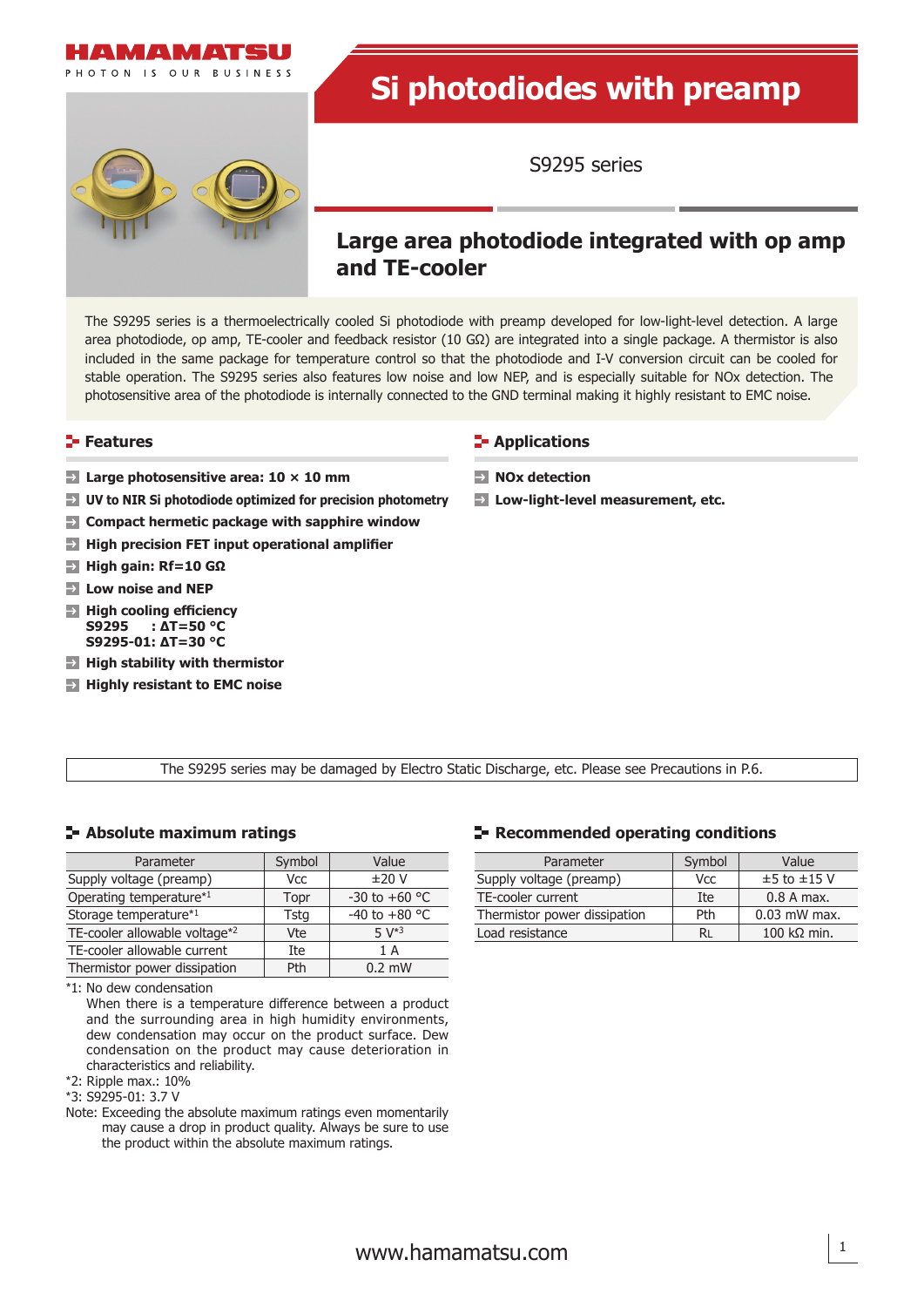



# **Si photodiodes with preamp**

S9295 series

## **Large area photodiode integrated with op amp and TE-cooler**

The S9295 series is a thermoelectrically cooled Si photodiode with preamp developed for low-light-level detection. A large area photodiode, op amp, TE-cooler and feedback resistor (10 GΩ) are integrated into a single package. A thermistor is also included in the same package for temperature control so that the photodiode and I-V conversion circuit can be cooled for stable operation. The S9295 series also features low noise and low NEP, and is especially suitable for NOx detection. The photosensitive area of the photodiode is internally connected to the GND terminal making it highly resistant to EMC noise.

#### **Features**

- **Large photosensitive area: 10 × 10 mm**
- **UV to NIR Si photodiode optimized for precision photometry**
- $\rightarrow$ **Compact hermetic package with sapphire window**
- **High precision FET input operational amplifier**
- **High gain: Rf=10 GΩ**
- **Low noise and NEP**
- **High cooling efficiency S9295 : ΔT=50 °C S9295-01: ΔT=30 °C**
- **High stability with thermistor**
- **Highly resistant to EMC noise**

#### **E-** Applications

- **NOx detection**
- **Low-light-level measurement, etc.**

The S9295 series may be damaged by Electro Static Discharge, etc. Please see Precautions in P.6.

#### **Absolute maximum ratings**

| Parameter                     | Symbol      | Value                   |
|-------------------------------|-------------|-------------------------|
| Supply voltage (preamp)       | Vcc         | ±20V                    |
| Operating temperature*1       | Topr        | $-30$ to $+60$ °C       |
| Storage temperature*1         | <b>Tstg</b> | -40 to +80 $^{\circ}$ C |
| TE-cooler allowable voltage*2 | Vte         | $5 V*3$                 |
| TE-cooler allowable current   | Ite         | 1 A                     |
| Thermistor power dissipation  | Pth         | $0.2$ mW                |

<sup>\*</sup>1: No dew condensation

 When there is a temperature difference between a product and the surrounding area in high humidity environments, dew condensation may occur on the product surface. Dew condensation on the product may cause deterioration in characteristics and reliability.

\*2: Ripple max.: 10%

\*3: S9295-01: 3.7 V

Note: Exceeding the absolute maximum ratings even momentarily may cause a drop in product quality. Always be sure to use the product within the absolute maximum ratings.

#### **Recommended operating conditions**

| Parameter                    | Symbol     | Value                      |  |
|------------------------------|------------|----------------------------|--|
| Supply voltage (preamp)      | <b>Vcc</b> | $±5$ to $±15$ V            |  |
| TE-cooler current            | Ite        | $0.8$ A max.               |  |
| Thermistor power dissipation | Pth        | $0.03$ mW max.             |  |
| Load resistance              | Rı         | $100 \text{ k}\Omega$ min. |  |

1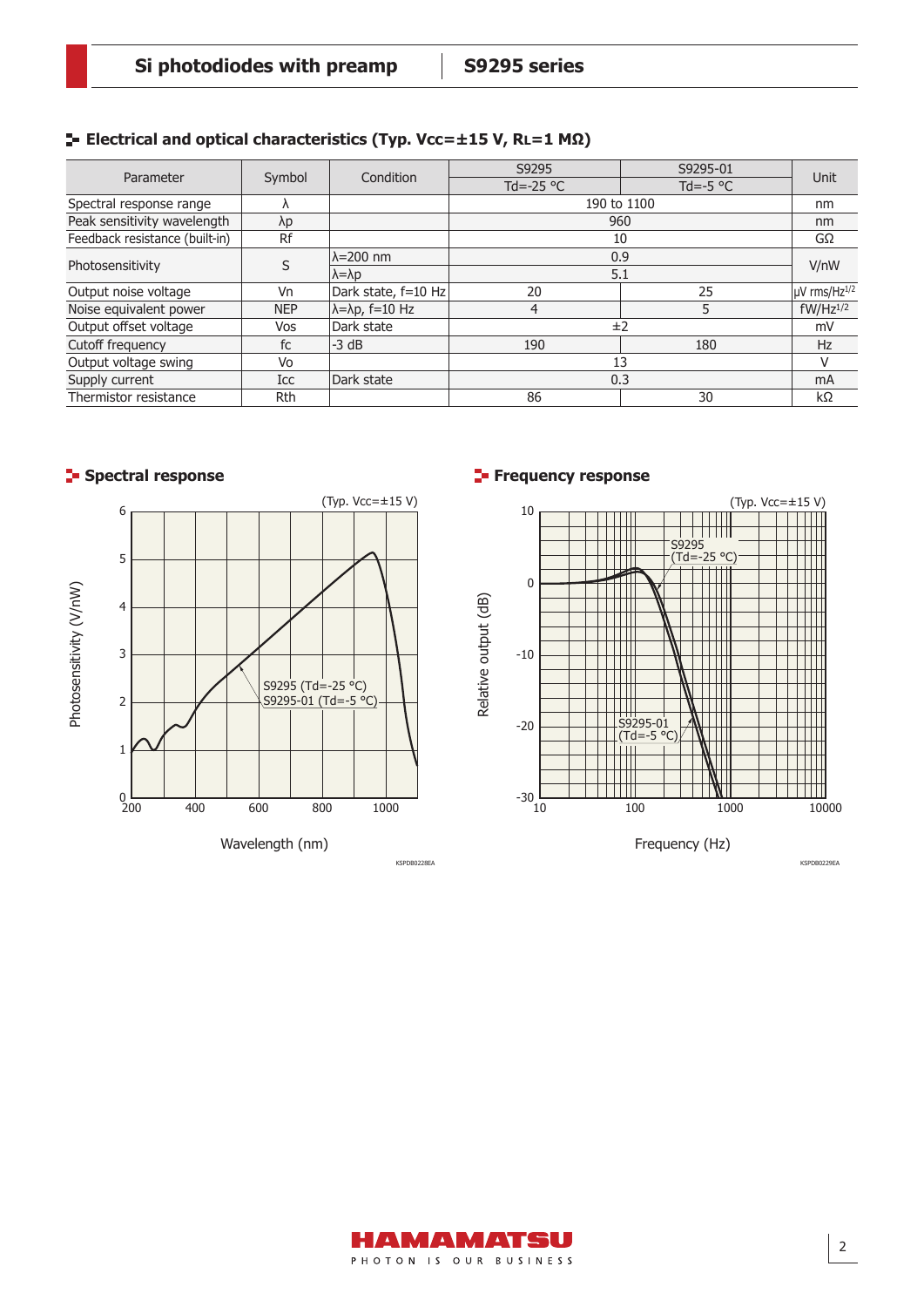#### **Electrical and optical characteristics (Typ. Vcc=±15 V, RL=1 MΩ)**

| Parameter                      | Symbol     | Condition                       | S9295               | S9295-01           | Unit                     |
|--------------------------------|------------|---------------------------------|---------------------|--------------------|--------------------------|
|                                |            |                                 | Td=-25 $^{\circ}$ C | Td=-5 $^{\circ}$ C |                          |
| Spectral response range        |            |                                 | 190 to 1100         |                    | nm                       |
| Peak sensitivity wavelength    | λp         |                                 | 960                 |                    | nm                       |
| Feedback resistance (built-in) | Rf         |                                 | 10                  |                    | GΩ                       |
| Photosensitivity               |            | $\lambda$ =200 nm               | 0.9                 |                    | V/nW                     |
|                                |            | $\lambda = \lambda p$           | 5.1                 |                    |                          |
| Output noise voltage           | Vn         | Dark state, f=10 Hz             | 20                  | 25                 | µV rms/Hz <sup>1/2</sup> |
| Noise equivalent power         | <b>NEP</b> | $\lambda = \lambda p$ , f=10 Hz | 4                   |                    | $fW/Hz^{1/2}$            |
| Output offset voltage          | Vos        | Dark state                      | ±2                  |                    | mV                       |
| Cutoff frequency               | fc         | $-3$ dB                         | 190                 | 180                | <b>Hz</b>                |
| Output voltage swing           | Vo         |                                 | 13                  |                    |                          |
| Supply current                 | Icc        | Dark state                      | 0.3                 |                    | mA                       |
| Thermistor resistance          | <b>Rth</b> |                                 | 86                  | 30                 | $k\Omega$                |





#### **Spectral response Frequency response**



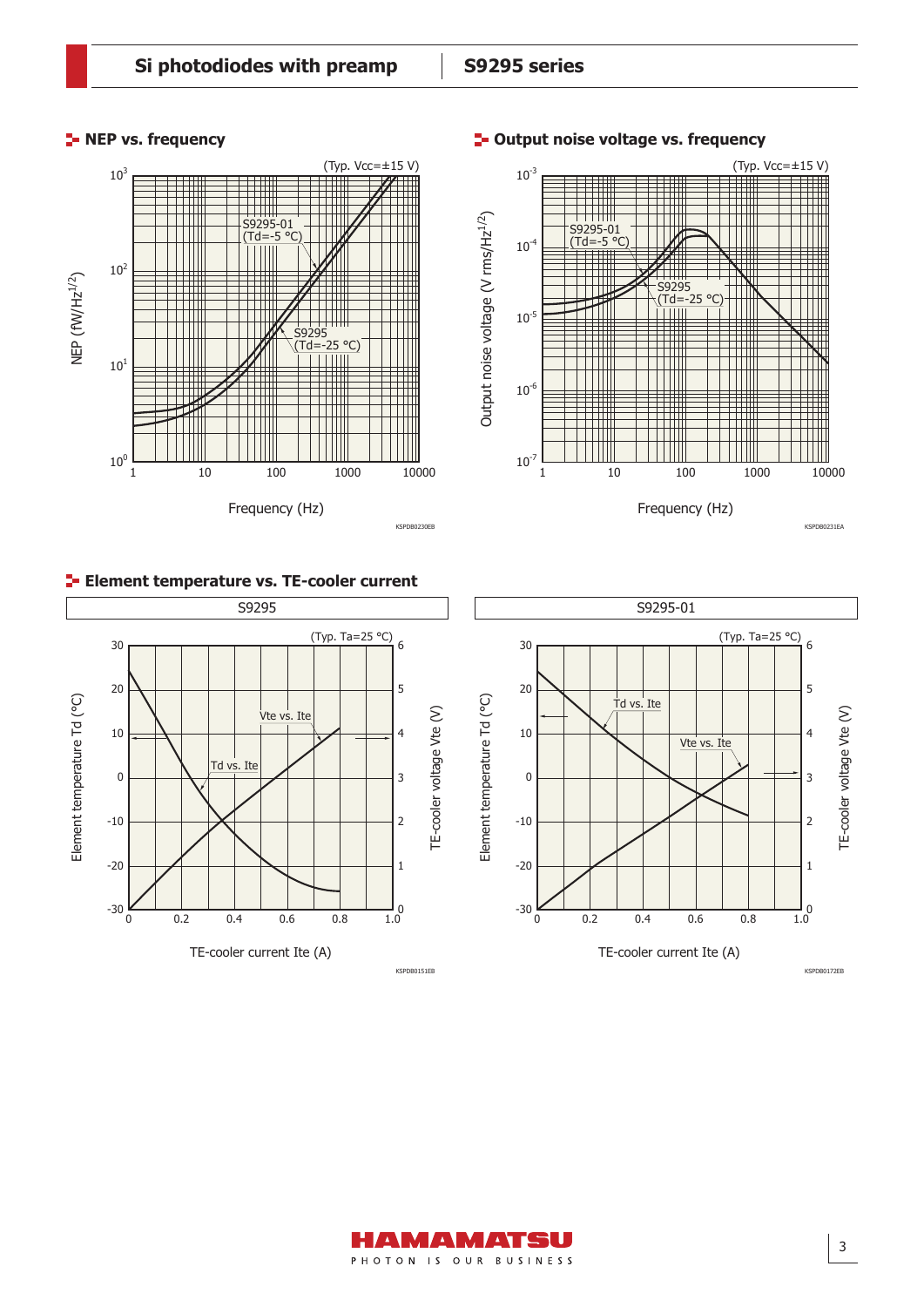#### **F** NEP vs. frequency







#### **E-** Element temperature vs. TE-cooler current





TE-cooler voltage Vte (V)

TE-cooler voltage Vte (V)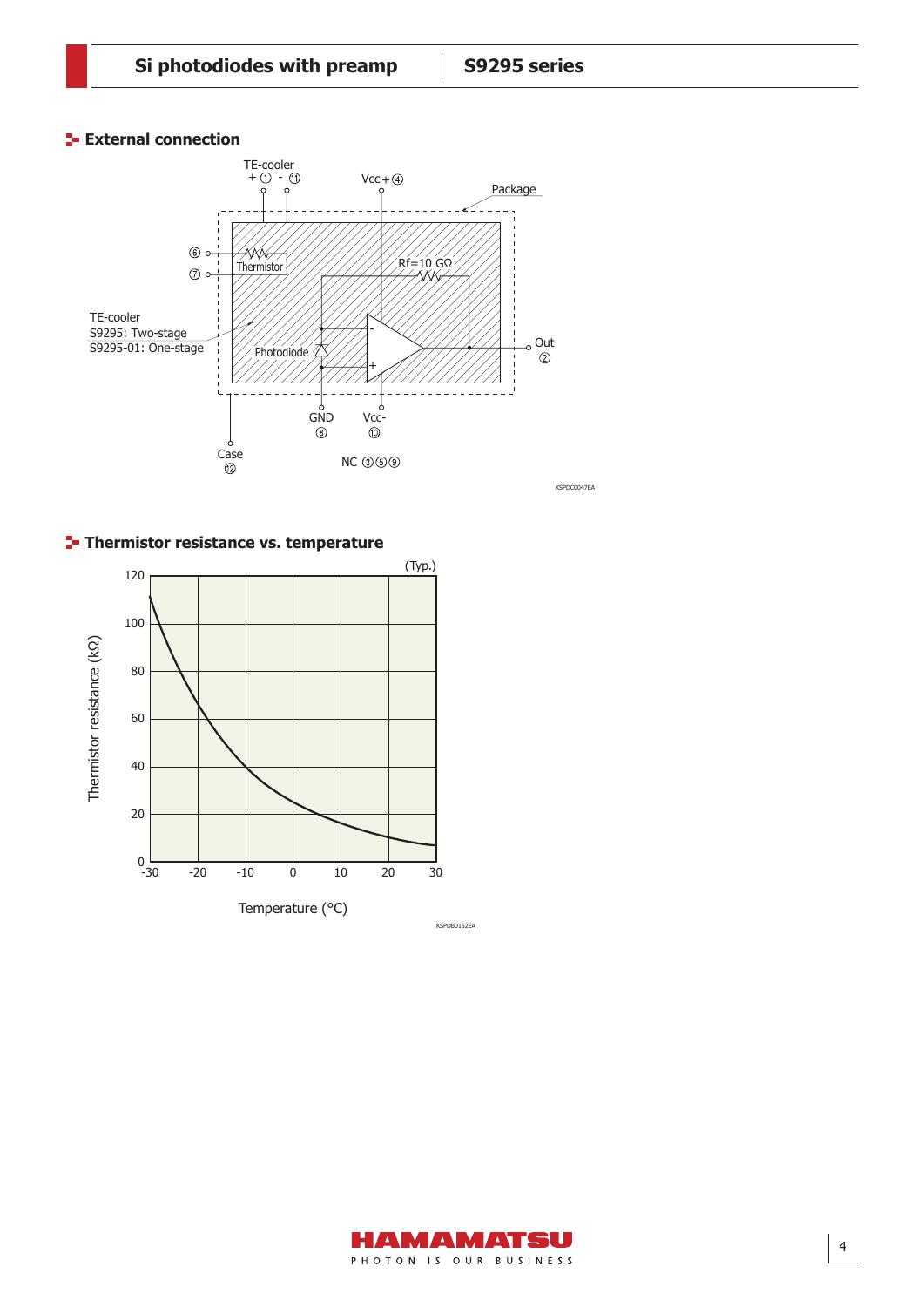#### **External connection**



**Thermistor resistance vs. temperature**

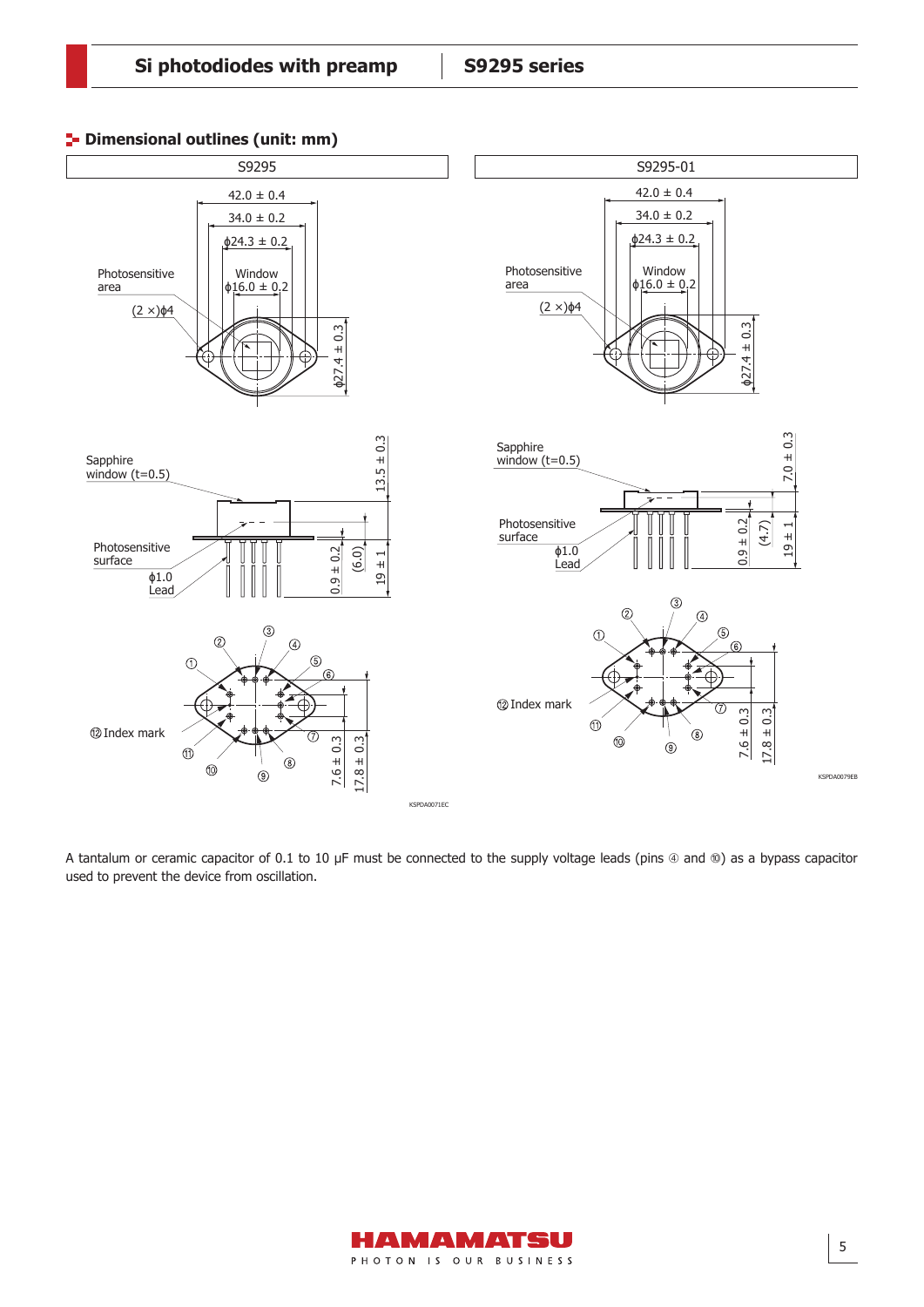$\mathcal{L}(\mathcal{S})=\mathcal{L}(\mathcal{S})=\mathcal{L}(\mathcal{S})=\mathcal{L}(\mathcal{S})=\mathcal{L}(\mathcal{S})=\mathcal{L}(\mathcal{S})=\mathcal{L}(\mathcal{S})=\mathcal{L}(\mathcal{S})=\mathcal{L}(\mathcal{S})=\mathcal{L}(\mathcal{S})=\mathcal{L}(\mathcal{S})=\mathcal{L}(\mathcal{S})=\mathcal{L}(\mathcal{S})=\mathcal{L}(\mathcal{S})=\mathcal{L}(\mathcal{S})=\mathcal{L}(\mathcal{S})=\mathcal{L}(\mathcal{S})=\mathcal{L}(\mathcal{S})=\mathcal{$ 



A tantalum or ceramic capacitor of 0.1 to 10 µF must be connected to the supply voltage leads (pins  $@$  and  $@$ ) as a bypass capacitor used to prevent the device from oscillation.

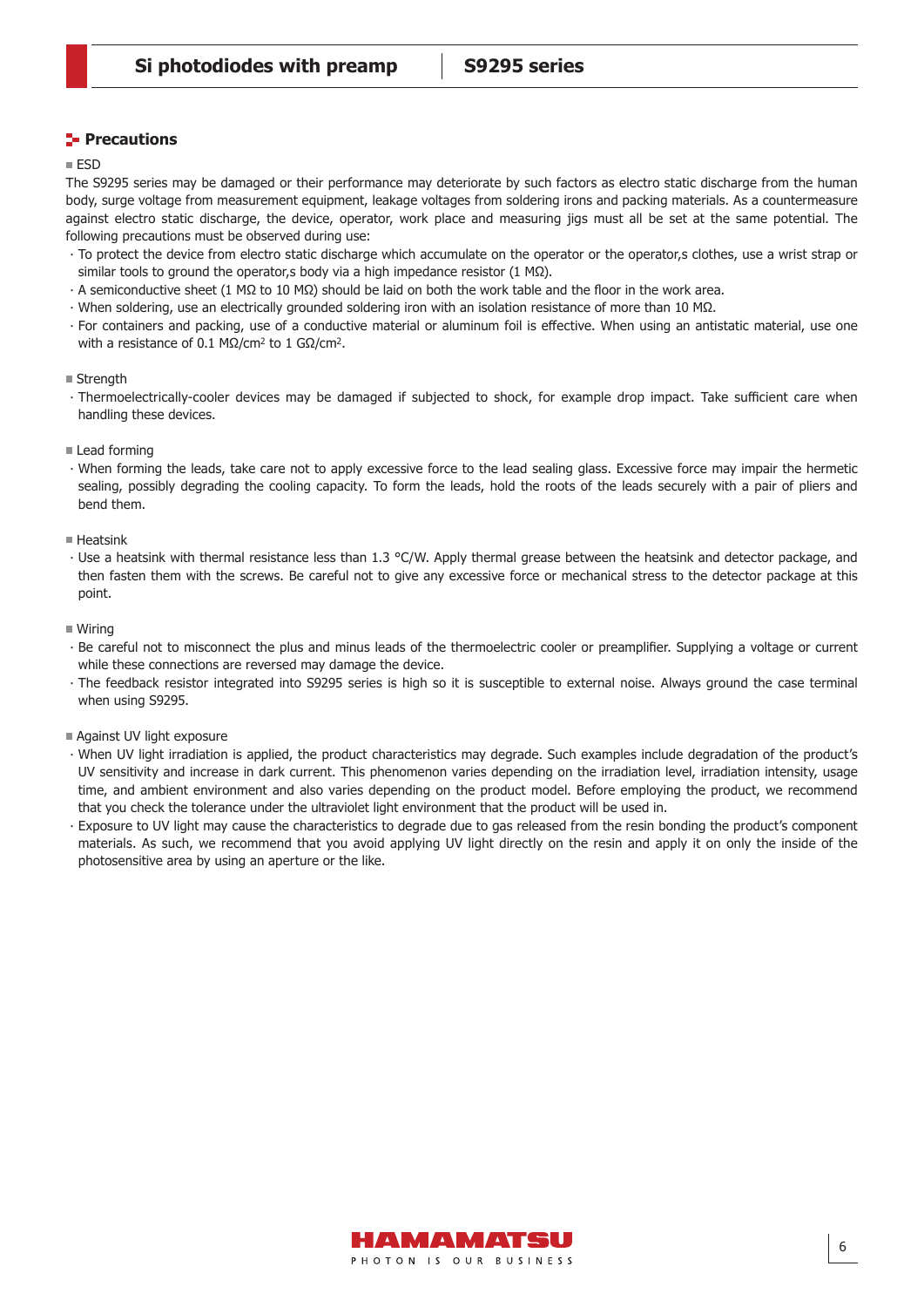#### **Precautions**

#### ESD

The S9295 series may be damaged or their performance may deteriorate by such factors as electro static discharge from the human body, surge voltage from measurement equipment, leakage voltages from soldering irons and packing materials. As a countermeasure against electro static discharge, the device, operator, work place and measuring jigs must all be set at the same potential. The following precautions must be observed during use:

- ∙ To protect the device from electro static discharge which accumulate on the operator or the operator,s clothes, use a wrist strap or similar tools to ground the operator, s body via a high impedance resistor (1 M $\Omega$ ).
- ∙ A semiconductive sheet (1 MΩ to 10 MΩ) should be laid on both the work table and the floor in the work area.
- ∙ When soldering, use an electrically grounded soldering iron with an isolation resistance of more than 10 MΩ.
- ∙ For containers and packing, use of a conductive material or aluminum foil is effective. When using an antistatic material, use one with a resistance of 0.1 MΩ/cm<sup>2</sup> to 1 GΩ/cm<sup>2</sup>.

#### ■ Strength

- ∙ Thermoelectrically-cooler devices may be damaged if subjected to shock, for example drop impact. Take sufficient care when handling these devices.
- $\blacksquare$  Lead forming
- ∙ When forming the leads, take care not to apply excessive force to the lead sealing glass. Excessive force may impair the hermetic sealing, possibly degrading the cooling capacity. To form the leads, hold the roots of the leads securely with a pair of pliers and bend them.
- $H$ eatsink
- ∙ Use a heatsink with thermal resistance less than 1.3 °C/W. Apply thermal grease between the heatsink and detector package, and then fasten them with the screws. Be careful not to give any excessive force or mechanical stress to the detector package at this point.
- Wiring
- ∙ Be careful not to misconnect the plus and minus leads of the thermoelectric cooler or preamplifier. Supplying a voltage or current while these connections are reversed may damage the device.
- ∙ The feedback resistor integrated into S9295 series is high so it is susceptible to external noise. Always ground the case terminal when using S9295.
- Against UV light exposure
- ∙ When UV light irradiation is applied, the product characteristics may degrade. Such examples include degradation of the product's UV sensitivity and increase in dark current. This phenomenon varies depending on the irradiation level, irradiation intensity, usage time, and ambient environment and also varies depending on the product model. Before employing the product, we recommend that you check the tolerance under the ultraviolet light environment that the product will be used in.
- ∙ Exposure to UV light may cause the characteristics to degrade due to gas released from the resin bonding the product's component materials. As such, we recommend that you avoid applying UV light directly on the resin and apply it on only the inside of the photosensitive area by using an aperture or the like.